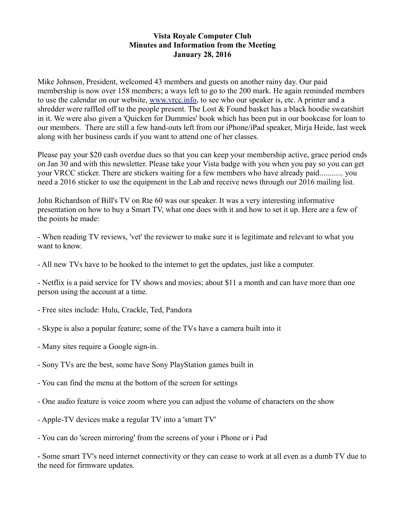## **Vista Royale Computer Club Minutes and Information from the Meeting January 28, 2016**

Mike Johnson, President, welcomed 43 members and guests on another rainy day. Our paid membership is now over 158 members; a ways left to go to the 200 mark. He again reminded members to use the calendar on our website, [www.vrcc.info,](http://www.vrcc.info/) to see who our speaker is, etc. A printer and a shredder were raffled off to the people present. The Lost  $&$  Found basket has a black hoodie sweatshirt in it. We were also given a 'Quicken for Dummies' book which has been put in our bookcase for loan to our members. There are still a few hand-outs left from our iPhone/iPad speaker, Mirja Heide, last week along with her business cards if you want to attend one of her classes.

Please pay your \$20 cash overdue dues so that you can keep your membership active, grace period ends on Jan 30 and with this newsletter. Please take your Vista badge with you when you pay so you can get your VRCC sticker. There are stickers waiting for a few members who have already paid............ you need a 2016 sticker to use the equipment in the Lab and receive news through our 2016 mailing list.

John Richardson of Bill's TV on Rte 60 was our speaker. It was a very interesting informative presentation on how to buy a Smart TV, what one does with it and how to set it up. Here are a few of the points he made:

- When reading TV reviews, 'vet' the reviewer to make sure it is legitimate and relevant to what you want to know.

- All new TVs have to be hooked to the internet to get the updates, just like a computer.

- Netflix is a paid service for TV shows and movies; about \$11 a month and can have more than one person using the account at a time.

- Free sites include: Hulu, Crackle, Ted, Pandora
- Skype is also a popular feature; some of the TVs have a camera built into it
- Many sites require a Google sign-in.
- Sony TVs are the best, some have Sony PlayStation games built in
- You can find the menu at the bottom of the screen for settings
- One audio feature is voice zoom where you can adjust the volume of characters on the show
- Apple-TV devices make a regular TV into a 'smart TV'
- You can do 'screen mirroring' from the screens of your i Phone or i Pad

- Some smart TV's need internet connectivity or they can cease to work at all even as a dumb TV due to the need for firmware updates.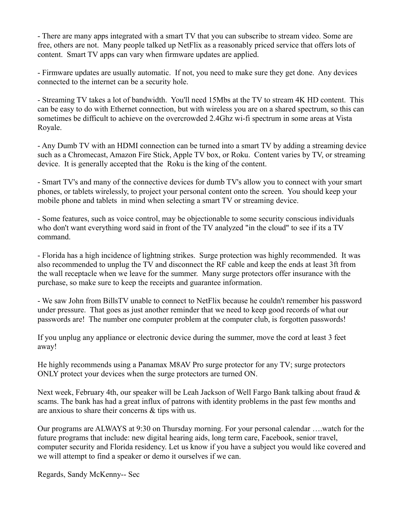- There are many apps integrated with a smart TV that you can subscribe to stream video. Some are free, others are not. Many people talked up NetFlix as a reasonably priced service that offers lots of content. Smart TV apps can vary when firmware updates are applied.

- Firmware updates are usually automatic. If not, you need to make sure they get done. Any devices connected to the internet can be a security hole.

- Streaming TV takes a lot of bandwidth. You'll need 15Mbs at the TV to stream 4K HD content. This can be easy to do with Ethernet connection, but with wireless you are on a shared spectrum, so this can sometimes be difficult to achieve on the overcrowded 2.4Ghz wi-fi spectrum in some areas at Vista Royale.

- Any Dumb TV with an HDMI connection can be turned into a smart TV by adding a streaming device such as a Chromecast, Amazon Fire Stick, Apple TV box, or Roku. Content varies by TV, or streaming device. It is generally accepted that the Roku is the king of the content.

- Smart TV's and many of the connective devices for dumb TV's allow you to connect with your smart phones, or tablets wirelessly, to project your personal content onto the screen. You should keep your mobile phone and tablets in mind when selecting a smart TV or streaming device.

- Some features, such as voice control, may be objectionable to some security conscious individuals who don't want everything word said in front of the TV analyzed "in the cloud" to see if its a TV command.

- Florida has a high incidence of lightning strikes. Surge protection was highly recommended. It was also recommended to unplug the TV and disconnect the RF cable and keep the ends at least 3ft from the wall receptacle when we leave for the summer. Many surge protectors offer insurance with the purchase, so make sure to keep the receipts and guarantee information.

- We saw John from BillsTV unable to connect to NetFlix because he couldn't remember his password under pressure. That goes as just another reminder that we need to keep good records of what our passwords are! The number one computer problem at the computer club, is forgotten passwords!

If you unplug any appliance or electronic device during the summer, move the cord at least 3 feet away!

He highly recommends using a Panamax M8AV Pro surge protector for any TV; surge protectors ONLY protect your devices when the surge protectors are turned ON.

Next week, February 4th, our speaker will be Leah Jackson of Well Fargo Bank talking about fraud  $\&$ scams. The bank has had a great influx of patrons with identity problems in the past few months and are anxious to share their concerns & tips with us.

Our programs are ALWAYS at 9:30 on Thursday morning. For your personal calendar ….watch for the future programs that include: new digital hearing aids, long term care, Facebook, senior travel, computer security and Florida residency. Let us know if you have a subject you would like covered and we will attempt to find a speaker or demo it ourselves if we can.

Regards, Sandy McKenny-- Sec